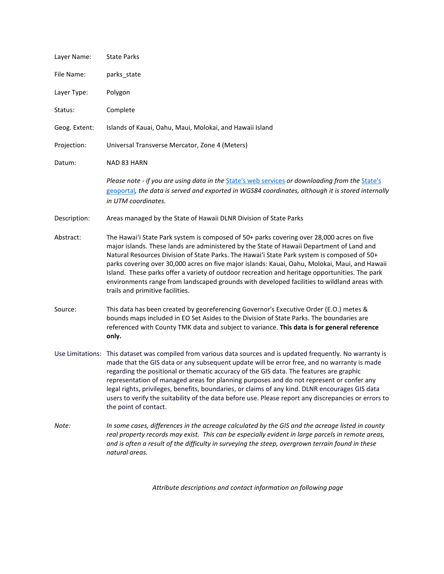| Layer Name:   | <b>State Parks</b>                                                                                                                                                                                                                                                                                                                                                                                                                                                                                                                                                                                                                       |  |
|---------------|------------------------------------------------------------------------------------------------------------------------------------------------------------------------------------------------------------------------------------------------------------------------------------------------------------------------------------------------------------------------------------------------------------------------------------------------------------------------------------------------------------------------------------------------------------------------------------------------------------------------------------------|--|
| File Name:    | parks_state                                                                                                                                                                                                                                                                                                                                                                                                                                                                                                                                                                                                                              |  |
| Layer Type:   | Polygon                                                                                                                                                                                                                                                                                                                                                                                                                                                                                                                                                                                                                                  |  |
| Status:       | Complete                                                                                                                                                                                                                                                                                                                                                                                                                                                                                                                                                                                                                                 |  |
| Geog. Extent: | Islands of Kauai, Oahu, Maui, Molokai, and Hawaii Island                                                                                                                                                                                                                                                                                                                                                                                                                                                                                                                                                                                 |  |
| Projection:   | Universal Transverse Mercator, Zone 4 (Meters)                                                                                                                                                                                                                                                                                                                                                                                                                                                                                                                                                                                           |  |
| Datum:        | NAD 83 HARN                                                                                                                                                                                                                                                                                                                                                                                                                                                                                                                                                                                                                              |  |
|               | Please note - if you are using data in the State's web services or downloading from the State's<br>geoportal, the data is served and exported in WGS84 coordinates, although it is stored internally<br>in UTM coordinates.                                                                                                                                                                                                                                                                                                                                                                                                              |  |
| Description:  | Areas managed by the State of Hawaii DLNR Division of State Parks                                                                                                                                                                                                                                                                                                                                                                                                                                                                                                                                                                        |  |
| Abstract:     | The Hawai'i State Park system is composed of 50+ parks covering over 28,000 acres on five<br>major islands. These lands are administered by the State of Hawaii Department of Land and<br>Natural Resources Division of State Parks. The Hawai'i State Park system is composed of 50+<br>parks covering over 30,000 acres on five major islands: Kauai, Oahu, Molokai, Maui, and Hawaii<br>Island. These parks offer a variety of outdoor recreation and heritage opportunities. The park<br>environments range from landscaped grounds with developed facilities to wildland areas with<br>trails and primitive facilities.             |  |
| Source:       | This data has been created by georeferencing Governor's Executive Order (E.O.) metes &<br>bounds maps included in EO Set Asides to the Division of State Parks. The boundaries are<br>referenced with County TMK data and subject to variance. This data is for general reference<br>only.                                                                                                                                                                                                                                                                                                                                               |  |
|               | Use Limitations: This dataset was compiled from various data sources and is updated frequently. No warranty is<br>made that the GIS data or any subsequent update will be error free, and no warranty is made<br>regarding the positional or thematic accuracy of the GIS data. The features are graphic<br>representation of managed areas for planning purposes and do not represent or confer any<br>legal rights, privileges, benefits, boundaries, or claims of any kind. DLNR encourages GIS data<br>users to verify the suitability of the data before use. Please report any discrepancies or errors to<br>the point of contact. |  |
| Note:         | In some cases, differences in the acreage calculated by the GIS and the acreage listed in county<br>real property records may exist. This can be especially evident in large parcels in remote areas,<br>and is often a result of the difficulty in surveying the steep, overgrown terrain found in these<br>natural areas.                                                                                                                                                                                                                                                                                                              |  |

*Attribute descriptions and contact information on following page*